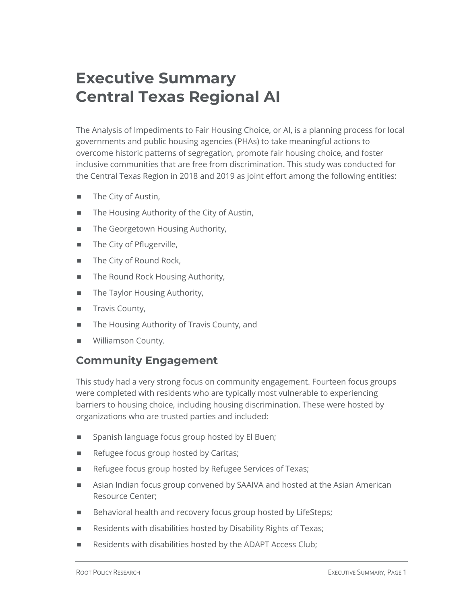# **Executive Summary Central Texas Regional AI**

The Analysis of Impediments to Fair Housing Choice, or AI, is a planning process for local governments and public housing agencies (PHAs) to take meaningful actions to overcome historic patterns of segregation, promote fair housing choice, and foster inclusive communities that are free from discrimination. This study was conducted for the Central Texas Region in 2018 and 2019 as joint effort among the following entities:

- The City of Austin,
- The Housing Authority of the City of Austin,
- The Georgetown Housing Authority,
- The City of Pflugerville,
- The City of Round Rock,
- The Round Rock Housing Authority,
- The Taylor Housing Authority,
- **E** Travis County,
- The Housing Authority of Travis County, and
- ¾ Williamson County.

### **Community Engagement**

This study had a very strong focus on community engagement. Fourteen focus groups were completed with residents who are typically most vulnerable to experiencing barriers to housing choice, including housing discrimination. These were hosted by organizations who are trusted parties and included:

- Spanish language focus group hosted by El Buen;
- Refugee focus group hosted by Caritas;
- Refugee focus group hosted by Refugee Services of Texas;
- ¾ Asian Indian focus group convened by SAAIVA and hosted at the Asian American Resource Center;
- Behavioral health and recovery focus group hosted by LifeSteps;
- Residents with disabilities hosted by Disability Rights of Texas;
- Residents with disabilities hosted by the ADAPT Access Club;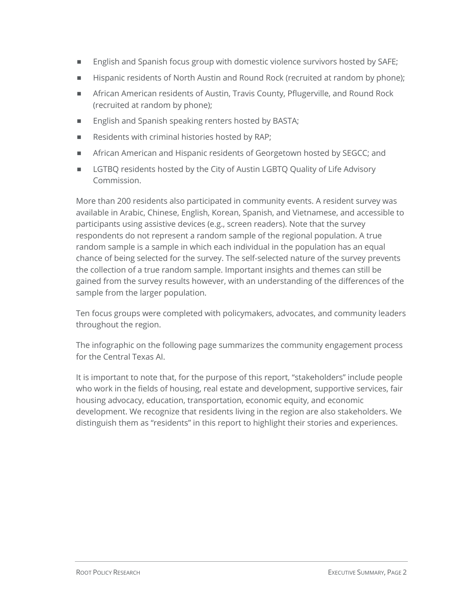- English and Spanish focus group with domestic violence survivors hosted by SAFE;
- ¾ Hispanic residents of North Austin and Round Rock (recruited at random by phone);
- ¾ African American residents of Austin, Travis County, Pflugerville, and Round Rock (recruited at random by phone);
- English and Spanish speaking renters hosted by BASTA;
- Residents with criminal histories hosted by RAP;
- ¾ African American and Hispanic residents of Georgetown hosted by SEGCC; and
- LGTBQ residents hosted by the City of Austin LGBTQ Quality of Life Advisory Commission.

More than 200 residents also participated in community events. A resident survey was available in Arabic, Chinese, English, Korean, Spanish, and Vietnamese, and accessible to participants using assistive devices (e.g., screen readers). Note that the survey respondents do not represent a random sample of the regional population. A true random sample is a sample in which each individual in the population has an equal chance of being selected for the survey. The self-selected nature of the survey prevents the collection of a true random sample. Important insights and themes can still be gained from the survey results however, with an understanding of the differences of the sample from the larger population.

Ten focus groups were completed with policymakers, advocates, and community leaders throughout the region.

The infographic on the following page summarizes the community engagement process for the Central Texas AI.

It is important to note that, for the purpose of this report, "stakeholders" include people who work in the fields of housing, real estate and development, supportive services, fair housing advocacy, education, transportation, economic equity, and economic development. We recognize that residents living in the region are also stakeholders. We distinguish them as "residents" in this report to highlight their stories and experiences.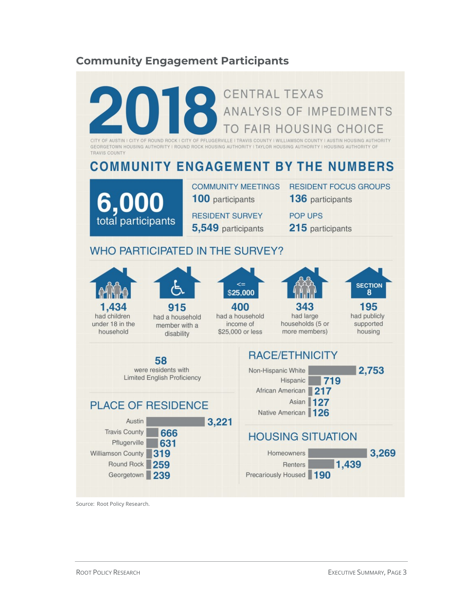### **Community Engagement Participants**



Source: Root Policy Research.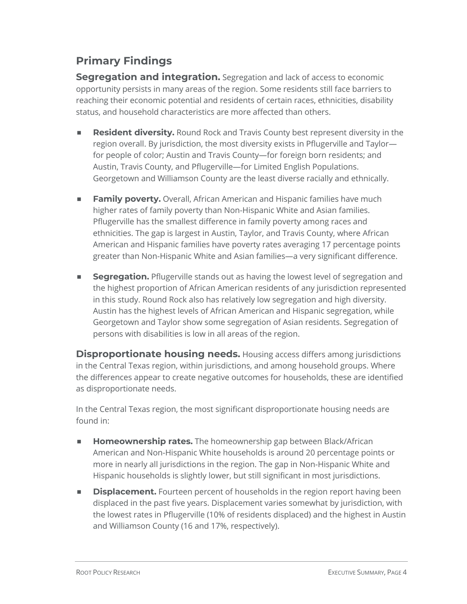# **Primary Findings**

**Segregation and integration.** Segregation and lack of access to economic opportunity persists in many areas of the region. Some residents still face barriers to reaching their economic potential and residents of certain races, ethnicities, disability status, and household characteristics are more affected than others.

- ¾ **Resident diversity.** Round Rock and Travis County best represent diversity in the region overall. By jurisdiction, the most diversity exists in Pflugerville and Taylor for people of color; Austin and Travis County—for foreign born residents; and Austin, Travis County, and Pflugerville—for Limited English Populations. Georgetown and Williamson County are the least diverse racially and ethnically.
- **Family poverty.** Overall, African American and Hispanic families have much higher rates of family poverty than Non-Hispanic White and Asian families. Pflugerville has the smallest difference in family poverty among races and ethnicities. The gap is largest in Austin, Taylor, and Travis County, where African American and Hispanic families have poverty rates averaging 17 percentage points greater than Non-Hispanic White and Asian families—a very significant difference.
- **Segregation.** Pflugerville stands out as having the lowest level of segregation and the highest proportion of African American residents of any jurisdiction represented in this study. Round Rock also has relatively low segregation and high diversity. Austin has the highest levels of African American and Hispanic segregation, while Georgetown and Taylor show some segregation of Asian residents. Segregation of persons with disabilities is low in all areas of the region.

**Disproportionate housing needs.** Housing access differs among jurisdictions in the Central Texas region, within jurisdictions, and among household groups. Where the differences appear to create negative outcomes for households, these are identified as disproportionate needs.

In the Central Texas region, the most significant disproportionate housing needs are found in:

- ¾ **Homeownership rates.** The homeownership gap between Black/African American and Non-Hispanic White households is around 20 percentage points or more in nearly all jurisdictions in the region. The gap in Non-Hispanic White and Hispanic households is slightly lower, but still significant in most jurisdictions.
- **EXECTE:** Displacement. Fourteen percent of households in the region report having been displaced in the past five years. Displacement varies somewhat by jurisdiction, with the lowest rates in Pflugerville (10% of residents displaced) and the highest in Austin and Williamson County (16 and 17%, respectively).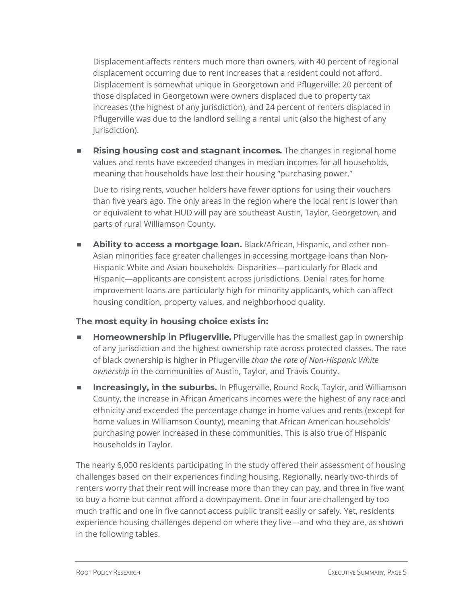Displacement affects renters much more than owners, with 40 percent of regional displacement occurring due to rent increases that a resident could not afford. Displacement is somewhat unique in Georgetown and Pflugerville: 20 percent of those displaced in Georgetown were owners displaced due to property tax increases (the highest of any jurisdiction), and 24 percent of renters displaced in Pflugerville was due to the landlord selling a rental unit (also the highest of any jurisdiction).

¾ **Rising housing cost and stagnant incomes***.* The changes in regional home values and rents have exceeded changes in median incomes for all households, meaning that households have lost their housing "purchasing power."

Due to rising rents, voucher holders have fewer options for using their vouchers than five years ago. The only areas in the region where the local rent is lower than or equivalent to what HUD will pay are southeast Austin, Taylor, Georgetown, and parts of rural Williamson County.

¾ **Ability to access a mortgage loan.** Black/African, Hispanic, and other non-Asian minorities face greater challenges in accessing mortgage loans than Non-Hispanic White and Asian households. Disparities—particularly for Black and Hispanic—applicants are consistent across jurisdictions. Denial rates for home improvement loans are particularly high for minority applicants, which can affect housing condition, property values, and neighborhood quality.

#### **The most equity in housing choice exists in:**

- ¾ **Homeownership in Pflugerville***.* Pflugerville has the smallest gap in ownership of any jurisdiction and the highest ownership rate across protected classes. The rate of black ownership is higher in Pflugerville *than the rate of Non-Hispanic White ownership* in the communities of Austin, Taylor, and Travis County.
- ¾ **Increasingly, in the suburbs.** In Pflugerville, Round Rock, Taylor, and Williamson County, the increase in African Americans incomes were the highest of any race and ethnicity and exceeded the percentage change in home values and rents (except for home values in Williamson County), meaning that African American households' purchasing power increased in these communities. This is also true of Hispanic households in Taylor.

The nearly 6,000 residents participating in the study offered their assessment of housing challenges based on their experiences finding housing. Regionally, nearly two-thirds of renters worry that their rent will increase more than they can pay, and three in five want to buy a home but cannot afford a downpayment. One in four are challenged by too much traffic and one in five cannot access public transit easily or safely. Yet, residents experience housing challenges depend on where they live—and who they are, as shown in the following tables.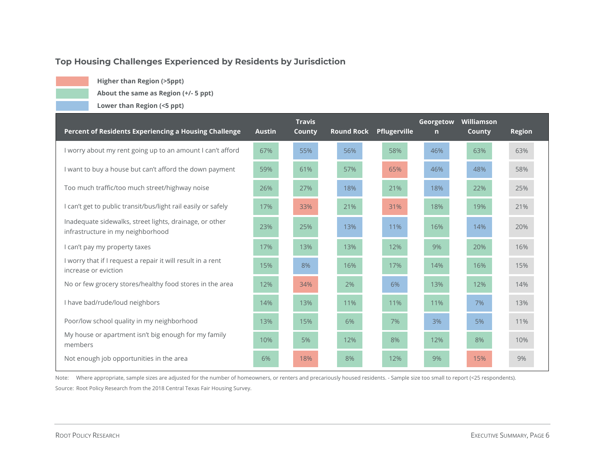#### **Top Housing Challenges Experienced by Residents by Jurisdiction**

**Higher than Region (>5ppt)**

**About the same as Region (+/- 5 ppt)**

**Lower than Region (<5 ppt)**

| Percent of Residents Experiencing a Housing Challenge                                        | <b>Austin</b> | <b>Travis</b><br>County | <b>Round Rock</b> | Pflugerville | Georgetow<br>$\mathsf{n}$ | Williamson<br><b>County</b> | <b>Region</b> |
|----------------------------------------------------------------------------------------------|---------------|-------------------------|-------------------|--------------|---------------------------|-----------------------------|---------------|
| I worry about my rent going up to an amount I can't afford                                   | 67%           | 55%                     | 56%               | 58%          | 46%                       | 63%                         | 63%           |
| I want to buy a house but can't afford the down payment                                      | 59%           | 61%                     | 57%               | 65%          | 46%                       | 48%                         | 58%           |
| Too much traffic/too much street/highway noise                                               | 26%           | 27%                     | 18%               | 21%          | 18%                       | 22%                         | 25%           |
| I can't get to public transit/bus/light rail easily or safely                                | 17%           | 33%                     | 21%               | 31%          | 18%                       | 19%                         | 21%           |
| Inadequate sidewalks, street lights, drainage, or other<br>infrastructure in my neighborhood | 23%           | 25%                     | 13%               | 11%          | 16%                       | 14%                         | 20%           |
| I can't pay my property taxes                                                                | 17%           | 13%                     | 13%               | 12%          | 9%                        | 20%                         | 16%           |
| I worry that if I request a repair it will result in a rent<br>increase or eviction          | 15%           | 8%                      | 16%               | 17%          | 14%                       | 16%                         | 15%           |
| No or few grocery stores/healthy food stores in the area                                     | 12%           | 34%                     | 2%                | 6%           | 13%                       | 12%                         | 14%           |
| I have bad/rude/loud neighbors                                                               | 14%           | 13%                     | 11%               | 11%          | 11%                       | 7%                          | 13%           |
| Poor/low school quality in my neighborhood                                                   | 13%           | 15%                     | 6%                | 7%           | 3%                        | 5%                          | 11%           |
| My house or apartment isn't big enough for my family<br>members                              | 10%           | 5%                      | 12%               | 8%           | 12%                       | 8%                          | 10%           |
| Not enough job opportunities in the area                                                     | 6%            | 18%                     | 8%                | 12%          | 9%                        | 15%                         | 9%            |

Note: Where appropriate, sample sizes are adjusted for the number of homeowners, or renters and precariously housed residents. - Sample size too small to report (<25 respondents). Source: Root Policy Research from the 2018 Central Texas Fair Housing Survey.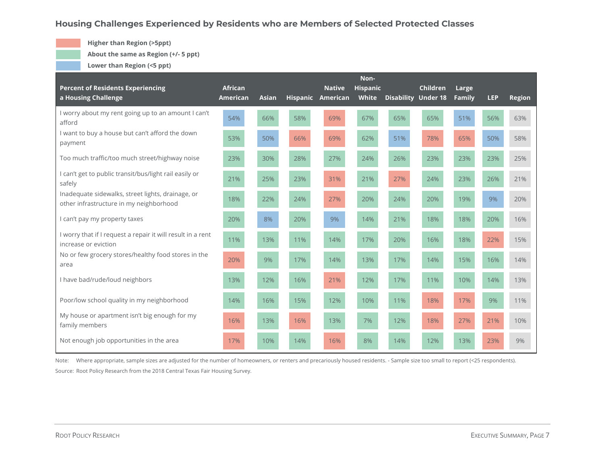#### **Housing Challenges Experienced by Residents who are Members of Selected Protected Classes**

**Higher than Region (>5ppt)**

**About the same as Region (+/- 5 ppt)**

**Lower than Region (<5 ppt)**

| <b>Percent of Residents Experiencing</b><br>a Housing Challenge                              | <b>African</b><br>American | <b>Asian</b> |     | <b>Native</b><br>Hispanic American | Non-<br><b>Hispanic</b><br>White |     | <b>Children</b><br><b>Disability Under 18</b> | Large<br><b>Family</b> | <b>LEP</b> | <b>Region</b> |
|----------------------------------------------------------------------------------------------|----------------------------|--------------|-----|------------------------------------|----------------------------------|-----|-----------------------------------------------|------------------------|------------|---------------|
| I worry about my rent going up to an amount I can't<br>afford                                | 54%                        | 66%          | 58% | 69%                                | 67%                              | 65% | 65%                                           | 51%                    | 56%        | 63%           |
| I want to buy a house but can't afford the down<br>payment                                   | 53%                        | 50%          | 66% | 69%                                | 62%                              | 51% | 78%                                           | 65%                    | 50%        | 58%           |
| Too much traffic/too much street/highway noise                                               | 23%                        | 30%          | 28% | 27%                                | 24%                              | 26% | 23%                                           | 23%                    | 23%        | 25%           |
| I can't get to public transit/bus/light rail easily or<br>safely                             | 21%                        | 25%          | 23% | 31%                                | 21%                              | 27% | 24%                                           | 23%                    | 26%        | 21%           |
| Inadequate sidewalks, street lights, drainage, or<br>other infrastructure in my neighborhood | 18%                        | 22%          | 24% | 27%                                | 20%                              | 24% | 20%                                           | 19%                    | 9%         | 20%           |
| I can't pay my property taxes                                                                | 20%                        | 8%           | 20% | 9%                                 | 14%                              | 21% | 18%                                           | 18%                    | 20%        | 16%           |
| I worry that if I request a repair it will result in a rent<br>increase or eviction          | 11%                        | 13%          | 11% | 14%                                | 17%                              | 20% | 16%                                           | 18%                    | 22%        | 15%           |
| No or few grocery stores/healthy food stores in the<br>area                                  | 20%                        | 9%           | 17% | 14%                                | 13%                              | 17% | 14%                                           | 15%                    | 16%        | 14%           |
| I have bad/rude/loud neighbors                                                               | 13%                        | 12%          | 16% | 21%                                | 12%                              | 17% | 11%                                           | 10%                    | 14%        | 13%           |
| Poor/low school quality in my neighborhood                                                   | 14%                        | 16%          | 15% | 12%                                | 10%                              | 11% | 18%                                           | 17%                    | 9%         | 11%           |
| My house or apartment isn't big enough for my<br>family members                              | 16%                        | 13%          | 16% | 13%                                | 7%                               | 12% | 18%                                           | 27%                    | 21%        | 10%           |
| Not enough job opportunities in the area                                                     | 17%                        | 10%          | 14% | 16%                                | 8%                               | 14% | 12%                                           | 13%                    | 23%        | 9%            |

Note: Where appropriate, sample sizes are adjusted for the number of homeowners, or renters and precariously housed residents. - Sample size too small to report (<25 respondents). Source: Root Policy Research from the 2018 Central Texas Fair Housing Survey.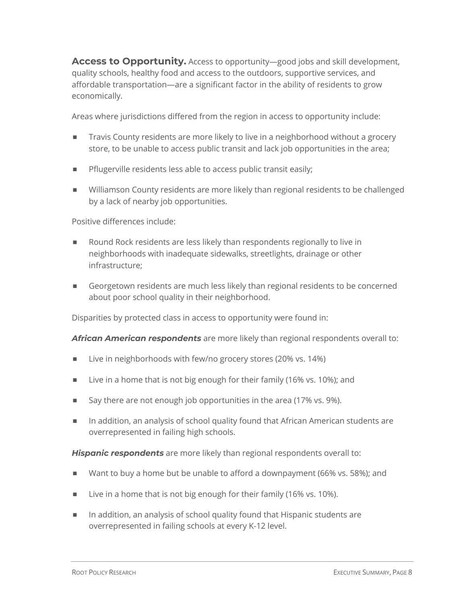**Access to Opportunity.** Access to opportunity—good jobs and skill development, quality schools, healthy food and access to the outdoors, supportive services, and affordable transportation—are a significant factor in the ability of residents to grow economically.

Areas where jurisdictions differed from the region in access to opportunity include:

- Travis County residents are more likely to live in a neighborhood without a grocery store, to be unable to access public transit and lack job opportunities in the area;
- **EXECTE:** Pflugerville residents less able to access public transit easily;
- ¾ Williamson County residents are more likely than regional residents to be challenged by a lack of nearby job opportunities.

Positive differences include:

- ¾ Round Rock residents are less likely than respondents regionally to live in neighborhoods with inadequate sidewalks, streetlights, drainage or other infrastructure;
- ¾ Georgetown residents are much less likely than regional residents to be concerned about poor school quality in their neighborhood.

Disparities by protected class in access to opportunity were found in:

*African American respondents* are more likely than regional respondents overall to:

- Live in neighborhoods with few/no grocery stores (20% vs. 14%)
- Live in a home that is not big enough for their family (16% vs. 10%); and
- Say there are not enough job opportunities in the area (17% vs. 9%).
- In addition, an analysis of school quality found that African American students are overrepresented in failing high schools.

*Hispanic respondents* are more likely than regional respondents overall to:

- Want to buy a home but be unable to afford a downpayment (66% vs. 58%); and
- Live in a home that is not big enough for their family (16% vs. 10%).
- In addition, an analysis of school quality found that Hispanic students are overrepresented in failing schools at every K-12 level.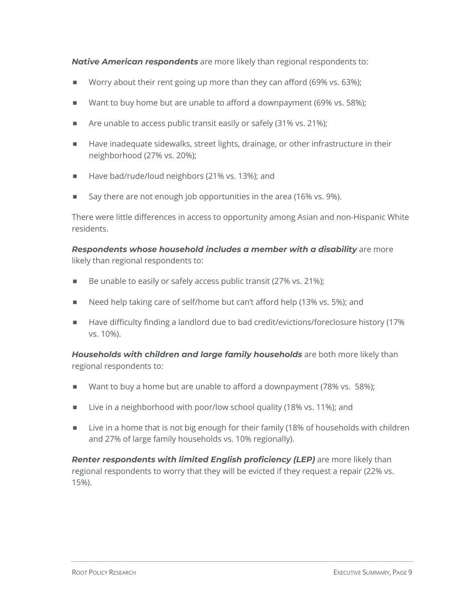*Native American respondents* are more likely than regional respondents to:

- Worry about their rent going up more than they can afford (69% vs. 63%);
- Want to buy home but are unable to afford a downpayment (69% vs. 58%);
- $\blacksquare$  Are unable to access public transit easily or safely (31% vs. 21%);
- ¾ Have inadequate sidewalks, street lights, drainage, or other infrastructure in their neighborhood (27% vs. 20%);
- Have bad/rude/loud neighbors (21% vs. 13%); and
- Say there are not enough job opportunities in the area (16% vs. 9%).

There were little differences in access to opportunity among Asian and non-Hispanic White residents.

*Respondents whose household includes a member with a disability* are more likely than regional respondents to:

- $\blacksquare$  Be unable to easily or safely access public transit (27% vs. 21%);
- Need help taking care of self/home but can't afford help (13% vs. 5%); and
- Have difficulty finding a landlord due to bad credit/evictions/foreclosure history (17% vs. 10%).

*Households with children and large family households* are both more likely than regional respondents to:

- Want to buy a home but are unable to afford a downpayment (78% vs. 58%);
- Live in a neighborhood with poor/low school quality (18% vs. 11%); and
- Live in a home that is not big enough for their family (18% of households with children and 27% of large family households vs. 10% regionally).

*Renter respondents with limited English proficiency (LEP)* are more likely than regional respondents to worry that they will be evicted if they request a repair (22% vs. 15%).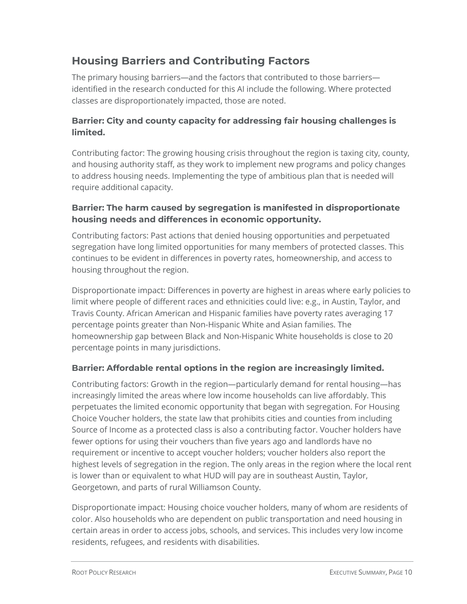# **Housing Barriers and Contributing Factors**

The primary housing barriers—and the factors that contributed to those barriers identified in the research conducted for this AI include the following. Where protected classes are disproportionately impacted, those are noted.

#### **Barrier: City and county capacity for addressing fair housing challenges is limited.**

Contributing factor: The growing housing crisis throughout the region is taxing city, county, and housing authority staff, as they work to implement new programs and policy changes to address housing needs. Implementing the type of ambitious plan that is needed will require additional capacity.

#### **Barrier: The harm caused by segregation is manifested in disproportionate housing needs and differences in economic opportunity.**

Contributing factors: Past actions that denied housing opportunities and perpetuated segregation have long limited opportunities for many members of protected classes. This continues to be evident in differences in poverty rates, homeownership, and access to housing throughout the region.

Disproportionate impact: Differences in poverty are highest in areas where early policies to limit where people of different races and ethnicities could live: e.g., in Austin, Taylor, and Travis County. African American and Hispanic families have poverty rates averaging 17 percentage points greater than Non-Hispanic White and Asian families. The homeownership gap between Black and Non-Hispanic White households is close to 20 percentage points in many jurisdictions.

#### **Barrier: Affordable rental options in the region are increasingly limited.**

Contributing factors: Growth in the region—particularly demand for rental housing—has increasingly limited the areas where low income households can live affordably. This perpetuates the limited economic opportunity that began with segregation. For Housing Choice Voucher holders, the state law that prohibits cities and counties from including Source of Income as a protected class is also a contributing factor. Voucher holders have fewer options for using their vouchers than five years ago and landlords have no requirement or incentive to accept voucher holders; voucher holders also report the highest levels of segregation in the region. The only areas in the region where the local rent is lower than or equivalent to what HUD will pay are in southeast Austin, Taylor, Georgetown, and parts of rural Williamson County.

Disproportionate impact: Housing choice voucher holders, many of whom are residents of color. Also households who are dependent on public transportation and need housing in certain areas in order to access jobs, schools, and services. This includes very low income residents, refugees, and residents with disabilities.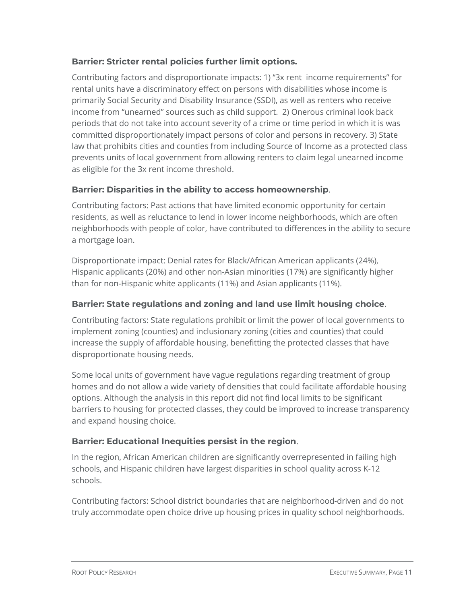#### **Barrier: Stricter rental policies further limit options.**

Contributing factors and disproportionate impacts: 1) "3x rent income requirements" for rental units have a discriminatory effect on persons with disabilities whose income is primarily Social Security and Disability Insurance (SSDI), as well as renters who receive income from "unearned" sources such as child support. 2) Onerous criminal look back periods that do not take into account severity of a crime or time period in which it is was committed disproportionately impact persons of color and persons in recovery. 3) State law that prohibits cities and counties from including Source of Income as a protected class prevents units of local government from allowing renters to claim legal unearned income as eligible for the 3x rent income threshold.

#### **Barrier: Disparities in the ability to access homeownership**.

Contributing factors: Past actions that have limited economic opportunity for certain residents, as well as reluctance to lend in lower income neighborhoods, which are often neighborhoods with people of color, have contributed to differences in the ability to secure a mortgage loan.

Disproportionate impact: Denial rates for Black/African American applicants (24%), Hispanic applicants (20%) and other non-Asian minorities (17%) are significantly higher than for non-Hispanic white applicants (11%) and Asian applicants (11%).

#### **Barrier: State regulations and zoning and land use limit housing choice**.

Contributing factors: State regulations prohibit or limit the power of local governments to implement zoning (counties) and inclusionary zoning (cities and counties) that could increase the supply of affordable housing, benefitting the protected classes that have disproportionate housing needs.

Some local units of government have vague regulations regarding treatment of group homes and do not allow a wide variety of densities that could facilitate affordable housing options. Although the analysis in this report did not find local limits to be significant barriers to housing for protected classes, they could be improved to increase transparency and expand housing choice.

#### **Barrier: Educational Inequities persist in the region**.

In the region, African American children are significantly overrepresented in failing high schools, and Hispanic children have largest disparities in school quality across K-12 schools.

Contributing factors: School district boundaries that are neighborhood-driven and do not truly accommodate open choice drive up housing prices in quality school neighborhoods.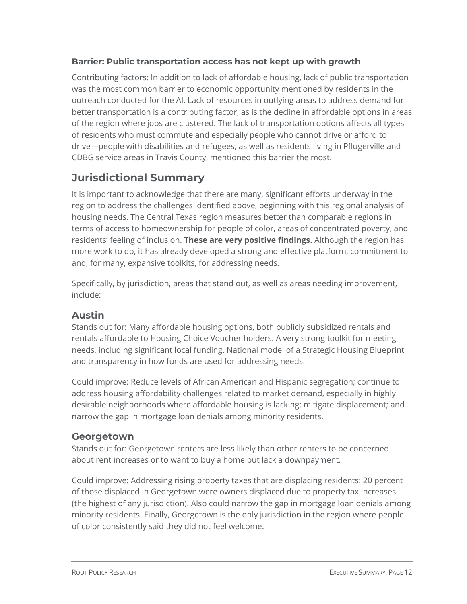#### **Barrier: Public transportation access has not kept up with growth**.

Contributing factors: In addition to lack of affordable housing, lack of public transportation was the most common barrier to economic opportunity mentioned by residents in the outreach conducted for the AI. Lack of resources in outlying areas to address demand for better transportation is a contributing factor, as is the decline in affordable options in areas of the region where jobs are clustered. The lack of transportation options affects all types of residents who must commute and especially people who cannot drive or afford to drive—people with disabilities and refugees, as well as residents living in Pflugerville and CDBG service areas in Travis County, mentioned this barrier the most.

### **Jurisdictional Summary**

It is important to acknowledge that there are many, significant efforts underway in the region to address the challenges identified above, beginning with this regional analysis of housing needs. The Central Texas region measures better than comparable regions in terms of access to homeownership for people of color, areas of concentrated poverty, and residents' feeling of inclusion. **These are very positive findings.** Although the region has more work to do, it has already developed a strong and effective platform, commitment to and, for many, expansive toolkits, for addressing needs.

Specifically, by jurisdiction, areas that stand out, as well as areas needing improvement, include:

#### **Austin**

Stands out for: Many affordable housing options, both publicly subsidized rentals and rentals affordable to Housing Choice Voucher holders. A very strong toolkit for meeting needs, including significant local funding. National model of a Strategic Housing Blueprint and transparency in how funds are used for addressing needs.

Could improve: Reduce levels of African American and Hispanic segregation; continue to address housing affordability challenges related to market demand, especially in highly desirable neighborhoods where affordable housing is lacking; mitigate displacement; and narrow the gap in mortgage loan denials among minority residents.

#### **Georgetown**

Stands out for: Georgetown renters are less likely than other renters to be concerned about rent increases or to want to buy a home but lack a downpayment.

Could improve: Addressing rising property taxes that are displacing residents: 20 percent of those displaced in Georgetown were owners displaced due to property tax increases (the highest of any jurisdiction). Also could narrow the gap in mortgage loan denials among minority residents. Finally, Georgetown is the only jurisdiction in the region where people of color consistently said they did not feel welcome.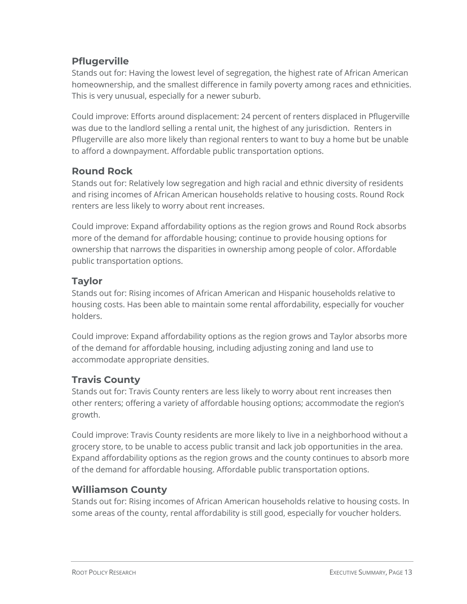### **Pflugerville**

Stands out for: Having the lowest level of segregation, the highest rate of African American homeownership, and the smallest difference in family poverty among races and ethnicities. This is very unusual, especially for a newer suburb.

Could improve: Efforts around displacement: 24 percent of renters displaced in Pflugerville was due to the landlord selling a rental unit, the highest of any jurisdiction. Renters in Pflugerville are also more likely than regional renters to want to buy a home but be unable to afford a downpayment. Affordable public transportation options.

#### **Round Rock**

Stands out for: Relatively low segregation and high racial and ethnic diversity of residents and rising incomes of African American households relative to housing costs. Round Rock renters are less likely to worry about rent increases.

Could improve: Expand affordability options as the region grows and Round Rock absorbs more of the demand for affordable housing; continue to provide housing options for ownership that narrows the disparities in ownership among people of color. Affordable public transportation options.

#### **Taylor**

Stands out for: Rising incomes of African American and Hispanic households relative to housing costs. Has been able to maintain some rental affordability, especially for voucher holders.

Could improve: Expand affordability options as the region grows and Taylor absorbs more of the demand for affordable housing, including adjusting zoning and land use to accommodate appropriate densities.

#### **Travis County**

Stands out for: Travis County renters are less likely to worry about rent increases then other renters; offering a variety of affordable housing options; accommodate the region's growth.

Could improve: Travis County residents are more likely to live in a neighborhood without a grocery store, to be unable to access public transit and lack job opportunities in the area. Expand affordability options as the region grows and the county continues to absorb more of the demand for affordable housing. Affordable public transportation options.

#### **Williamson County**

Stands out for: Rising incomes of African American households relative to housing costs. In some areas of the county, rental affordability is still good, especially for voucher holders.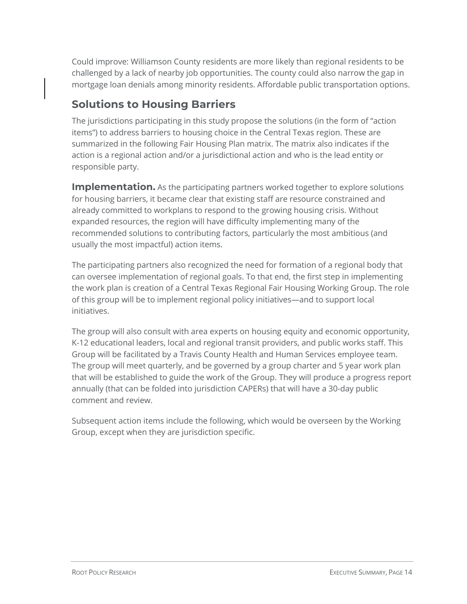Could improve: Williamson County residents are more likely than regional residents to be challenged by a lack of nearby job opportunities. The county could also narrow the gap in mortgage loan denials among minority residents. Affordable public transportation options.

# **Solutions to Housing Barriers**

The jurisdictions participating in this study propose the solutions (in the form of "action items") to address barriers to housing choice in the Central Texas region. These are summarized in the following Fair Housing Plan matrix. The matrix also indicates if the action is a regional action and/or a jurisdictional action and who is the lead entity or responsible party.

**Implementation.** As the participating partners worked together to explore solutions for housing barriers, it became clear that existing staff are resource constrained and already committed to workplans to respond to the growing housing crisis. Without expanded resources, the region will have difficulty implementing many of the recommended solutions to contributing factors, particularly the most ambitious (and usually the most impactful) action items.

The participating partners also recognized the need for formation of a regional body that can oversee implementation of regional goals. To that end, the first step in implementing the work plan is creation of a Central Texas Regional Fair Housing Working Group. The role of this group will be to implement regional policy initiatives—and to support local initiatives.

The group will also consult with area experts on housing equity and economic opportunity, K-12 educational leaders, local and regional transit providers, and public works staff. This Group will be facilitated by a Travis County Health and Human Services employee team. The group will meet quarterly, and be governed by a group charter and 5 year work plan that will be established to guide the work of the Group. They will produce a progress report annually (that can be folded into jurisdiction CAPERs) that will have a 30-day public comment and review.

Subsequent action items include the following, which would be overseen by the Working Group, except when they are jurisdiction specific.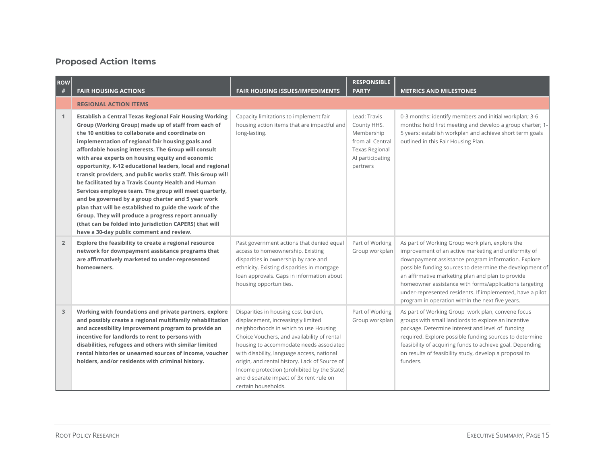#### **Proposed Action Items**

| <b>ROW</b><br># | <b>FAIR HOUSING ACTIONS</b>                                                                                                                                                                                                                                                                                                                                                                                                                                                                                                                                                                                                                                                                                                                                                                                                                                         | <b>FAIR HOUSING ISSUES/IMPEDIMENTS</b>                                                                                                                                                                                                                                                                                                                                                                                       | <b>RESPONSIBLE</b><br><b>PARTY</b>                                                                                     | <b>METRICS AND MILESTONES</b>                                                                                                                                                                                                                                                                                                                                                                                                                              |
|-----------------|---------------------------------------------------------------------------------------------------------------------------------------------------------------------------------------------------------------------------------------------------------------------------------------------------------------------------------------------------------------------------------------------------------------------------------------------------------------------------------------------------------------------------------------------------------------------------------------------------------------------------------------------------------------------------------------------------------------------------------------------------------------------------------------------------------------------------------------------------------------------|------------------------------------------------------------------------------------------------------------------------------------------------------------------------------------------------------------------------------------------------------------------------------------------------------------------------------------------------------------------------------------------------------------------------------|------------------------------------------------------------------------------------------------------------------------|------------------------------------------------------------------------------------------------------------------------------------------------------------------------------------------------------------------------------------------------------------------------------------------------------------------------------------------------------------------------------------------------------------------------------------------------------------|
|                 | <b>REGIONAL ACTION ITEMS</b>                                                                                                                                                                                                                                                                                                                                                                                                                                                                                                                                                                                                                                                                                                                                                                                                                                        |                                                                                                                                                                                                                                                                                                                                                                                                                              |                                                                                                                        |                                                                                                                                                                                                                                                                                                                                                                                                                                                            |
| $\mathbf{1}$    | <b>Establish a Central Texas Regional Fair Housing Working</b><br>Group (Working Group) made up of staff from each of<br>the 10 entities to collaborate and coordinate on<br>implementation of regional fair housing goals and<br>affordable housing interests. The Group will consult<br>with area experts on housing equity and economic<br>opportunity, K-12 educational leaders, local and regional<br>transit providers, and public works staff. This Group will<br>be facilitated by a Travis County Health and Human<br>Services employee team. The group will meet quarterly,<br>and be governed by a group charter and 5 year work<br>plan that will be established to guide the work of the<br>Group. They will produce a progress report annually<br>(that can be folded into jurisdiction CAPERS) that will<br>have a 30-day public comment and review. | Capacity limitations to implement fair<br>housing action items that are impactful and<br>long-lasting.                                                                                                                                                                                                                                                                                                                       | Lead: Travis<br>County HHS.<br>Membership<br>from all Central<br><b>Texas Regional</b><br>Al participating<br>partners | 0-3 months: identify members and initial workplan; 3-6<br>months: hold first meeting and develop a group charter; 1-<br>5 years: establish workplan and achieve short term goals<br>outlined in this Fair Housing Plan.                                                                                                                                                                                                                                    |
| $\overline{2}$  | Explore the feasibility to create a regional resource<br>network for downpayment assistance programs that<br>are affirmatively marketed to under-represented<br>homeowners.                                                                                                                                                                                                                                                                                                                                                                                                                                                                                                                                                                                                                                                                                         | Past government actions that denied equal<br>access to homeownership. Existing<br>disparities in ownership by race and<br>ethnicity. Existing disparities in mortgage<br>loan approvals. Gaps in information about<br>housing opportunities.                                                                                                                                                                                 | Part of Working<br>Group workplan                                                                                      | As part of Working Group work plan, explore the<br>improvement of an active marketing and uniformity of<br>downpayment assistance program information. Explore<br>possible funding sources to determine the development of<br>an affirmative marketing plan and plan to provide<br>homeowner assistance with forms/applications targeting<br>under-represented residents. If implemented, have a pilot<br>program in operation within the next five years. |
| 3               | Working with foundations and private partners, explore<br>and possibly create a regional multifamily rehabilitation<br>and accessibility improvement program to provide an<br>incentive for landlords to rent to persons with<br>disabilities, refugees and others with similar limited<br>rental histories or unearned sources of income, voucher<br>holders, and/or residents with criminal history.                                                                                                                                                                                                                                                                                                                                                                                                                                                              | Disparities in housing cost burden,<br>displacement, increasingly limited<br>neighborhoods in which to use Housing<br>Choice Vouchers, and availability of rental<br>housing to accommodate needs associated<br>with disability, language access, national<br>origin, and rental history. Lack of Source of<br>Income protection (prohibited by the State)<br>and disparate impact of 3x rent rule on<br>certain households. | Part of Working<br>Group workplan                                                                                      | As part of Working Group work plan, convene focus<br>groups with small landlords to explore an incentive<br>package. Determine interest and level of funding<br>required. Explore possible funding sources to determine<br>feasibility of acquiring funds to achieve goal. Depending<br>on results of feasibility study, develop a proposal to<br>funders.                                                                                                 |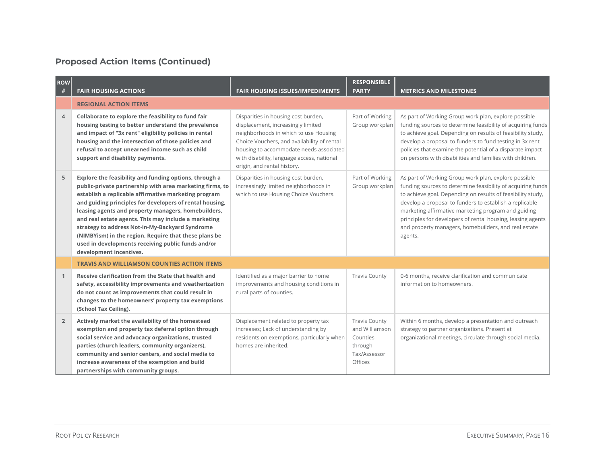| <b>ROW</b><br># | <b>FAIR HOUSING ACTIONS</b>                                                                                                                                                                                                                                                                                                                                                                                                                                                                                                                        | <b>FAIR HOUSING ISSUES/IMPEDIMENTS</b>                                                                                                                                                                                                                                                    | <b>RESPONSIBLE</b><br><b>PARTY</b>                                                       | <b>METRICS AND MILESTONES</b>                                                                                                                                                                                                                                                                                                                                                                                                          |
|-----------------|----------------------------------------------------------------------------------------------------------------------------------------------------------------------------------------------------------------------------------------------------------------------------------------------------------------------------------------------------------------------------------------------------------------------------------------------------------------------------------------------------------------------------------------------------|-------------------------------------------------------------------------------------------------------------------------------------------------------------------------------------------------------------------------------------------------------------------------------------------|------------------------------------------------------------------------------------------|----------------------------------------------------------------------------------------------------------------------------------------------------------------------------------------------------------------------------------------------------------------------------------------------------------------------------------------------------------------------------------------------------------------------------------------|
|                 | <b>REGIONAL ACTION ITEMS</b>                                                                                                                                                                                                                                                                                                                                                                                                                                                                                                                       |                                                                                                                                                                                                                                                                                           |                                                                                          |                                                                                                                                                                                                                                                                                                                                                                                                                                        |
| $\overline{4}$  | Collaborate to explore the feasibility to fund fair<br>housing testing to better understand the prevalence<br>and impact of "3x rent" eligibility policies in rental<br>housing and the intersection of those policies and<br>refusal to accept unearned income such as child<br>support and disability payments.                                                                                                                                                                                                                                  | Disparities in housing cost burden,<br>displacement, increasingly limited<br>neighborhoods in which to use Housing<br>Choice Vouchers, and availability of rental<br>housing to accommodate needs associated<br>with disability, language access, national<br>origin, and rental history. | Part of Working<br>Group workplan                                                        | As part of Working Group work plan, explore possible<br>funding sources to determine feasibility of acquiring funds<br>to achieve goal. Depending on results of feasibility study,<br>develop a proposal to funders to fund testing in 3x rent<br>policies that examine the potential of a disparate impact<br>on persons with disabilities and families with children.                                                                |
| 5               | Explore the feasibility and funding options, through a<br>public-private partnership with area marketing firms, to<br>establish a replicable affirmative marketing program<br>and guiding principles for developers of rental housing,<br>leasing agents and property managers, homebuilders,<br>and real estate agents. This may include a marketing<br>strategy to address Not-in-My-Backyard Syndrome<br>(NIMBYism) in the region. Require that these plans be<br>used in developments receiving public funds and/or<br>development incentives. | Disparities in housing cost burden,<br>increasingly limited neighborhoods in<br>which to use Housing Choice Vouchers.                                                                                                                                                                     | Part of Working<br>Group workplan                                                        | As part of Working Group work plan, explore possible<br>funding sources to determine feasibility of acquiring funds<br>to achieve goal. Depending on results of feasibility study,<br>develop a proposal to funders to establish a replicable<br>marketing affirmative marketing program and guiding<br>principles for developers of rental housing, leasing agents<br>and property managers, homebuilders, and real estate<br>agents. |
|                 | <b>TRAVIS AND WILLIAMSON COUNTIES ACTION ITEMS</b>                                                                                                                                                                                                                                                                                                                                                                                                                                                                                                 |                                                                                                                                                                                                                                                                                           |                                                                                          |                                                                                                                                                                                                                                                                                                                                                                                                                                        |
| $\mathbf{1}$    | Receive clarification from the State that health and<br>safety, accessibility improvements and weatherization<br>do not count as improvements that could result in<br>changes to the homeowners' property tax exemptions<br>(School Tax Ceiling).                                                                                                                                                                                                                                                                                                  | Identified as a major barrier to home<br>improvements and housing conditions in<br>rural parts of counties.                                                                                                                                                                               | <b>Travis County</b>                                                                     | 0-6 months, receive clarification and communicate<br>information to homeowners.                                                                                                                                                                                                                                                                                                                                                        |
| $\overline{2}$  | Actively market the availability of the homestead<br>exemption and property tax deferral option through<br>social service and advocacy organizations, trusted<br>parties (church leaders, community organizers),<br>community and senior centers, and social media to<br>increase awareness of the exemption and build<br>partnerships with community groups.                                                                                                                                                                                      | Displacement related to property tax<br>increases; Lack of understanding by<br>residents on exemptions, particularly when<br>homes are inherited.                                                                                                                                         | <b>Travis County</b><br>and Williamson<br>Counties<br>through<br>Tax/Assessor<br>Offices | Within 6 months, develop a presentation and outreach<br>strategy to partner organizations. Present at<br>organizational meetings, circulate through social media.                                                                                                                                                                                                                                                                      |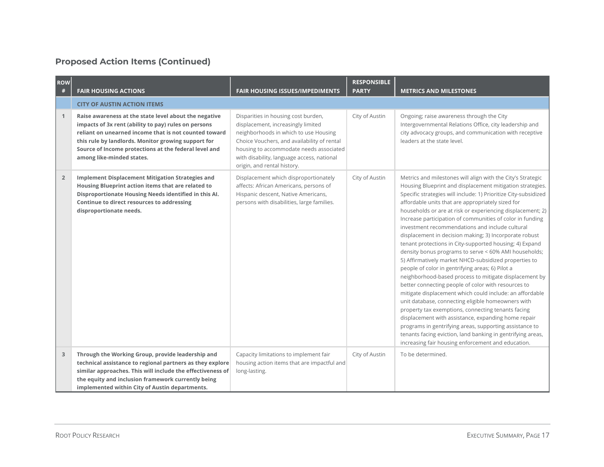| ROW<br>#       | <b>FAIR HOUSING ACTIONS</b>                                                                                                                                                                                                                                                                                         | <b>FAIR HOUSING ISSUES/IMPEDIMENTS</b>                                                                                                                                                                                                                                                    | <b>RESPONSIBLE</b><br><b>PARTY</b> | <b>METRICS AND MILESTONES</b>                                                                                                                                                                                                                                                                                                                                                                                                                                                                                                                                                                                                                                                                                                                                                                                                                                                                                                                                                                                                                                                                                                                                                                                                                             |
|----------------|---------------------------------------------------------------------------------------------------------------------------------------------------------------------------------------------------------------------------------------------------------------------------------------------------------------------|-------------------------------------------------------------------------------------------------------------------------------------------------------------------------------------------------------------------------------------------------------------------------------------------|------------------------------------|-----------------------------------------------------------------------------------------------------------------------------------------------------------------------------------------------------------------------------------------------------------------------------------------------------------------------------------------------------------------------------------------------------------------------------------------------------------------------------------------------------------------------------------------------------------------------------------------------------------------------------------------------------------------------------------------------------------------------------------------------------------------------------------------------------------------------------------------------------------------------------------------------------------------------------------------------------------------------------------------------------------------------------------------------------------------------------------------------------------------------------------------------------------------------------------------------------------------------------------------------------------|
|                | <b>CITY OF AUSTIN ACTION ITEMS</b>                                                                                                                                                                                                                                                                                  |                                                                                                                                                                                                                                                                                           |                                    |                                                                                                                                                                                                                                                                                                                                                                                                                                                                                                                                                                                                                                                                                                                                                                                                                                                                                                                                                                                                                                                                                                                                                                                                                                                           |
| $\mathbf{1}$   | Raise awareness at the state level about the negative<br>impacts of 3x rent (ability to pay) rules on persons<br>reliant on unearned income that is not counted toward<br>this rule by landlords. Monitor growing support for<br>Source of Income protections at the federal level and<br>among like-minded states. | Disparities in housing cost burden,<br>displacement, increasingly limited<br>neighborhoods in which to use Housing<br>Choice Vouchers, and availability of rental<br>housing to accommodate needs associated<br>with disability, language access, national<br>origin, and rental history. | City of Austin                     | Ongoing; raise awareness through the City<br>Intergovernmental Relations Office, city leadership and<br>city advocacy groups, and communication with receptive<br>leaders at the state level.                                                                                                                                                                                                                                                                                                                                                                                                                                                                                                                                                                                                                                                                                                                                                                                                                                                                                                                                                                                                                                                             |
| $\overline{2}$ | <b>Implement Displacement Mitigation Strategies and</b><br>Housing Blueprint action items that are related to<br>Disproportionate Housing Needs identified in this Al.<br>Continue to direct resources to addressing<br>disproportionate needs.                                                                     | Displacement which disproportionately<br>affects: African Americans, persons of<br>Hispanic descent, Native Americans,<br>persons with disabilities, large families.                                                                                                                      | City of Austin                     | Metrics and milestones will align with the City's Strategic<br>Housing Blueprint and displacement mitigation strategies.<br>Specific strategies will include: 1) Prioritize City-subsidized<br>affordable units that are appropriately sized for<br>households or are at risk or experiencing displacement; 2)<br>Increase participation of communities of color in funding<br>investment recommendations and include cultural<br>displacement in decision making; 3) Incorporate robust<br>tenant protections in City-supported housing; 4) Expand<br>density bonus programs to serve < 60% AMI households;<br>5) Affirmatively market NHCD-subsidized properties to<br>people of color in gentrifying areas; 6) Pilot a<br>neighborhood-based process to mitigate displacement by<br>better connecting people of color with resources to<br>mitigate displacement which could include: an affordable<br>unit database, connecting eligible homeowners with<br>property tax exemptions, connecting tenants facing<br>displacement with assistance, expanding home repair<br>programs in gentrifying areas, supporting assistance to<br>tenants facing eviction, land banking in gentrifying areas,<br>increasing fair housing enforcement and education. |
| 3              | Through the Working Group, provide leadership and<br>technical assistance to regional partners as they explore<br>similar approaches. This will include the effectiveness of<br>the equity and inclusion framework currently being<br>implemented within City of Austin departments.                                | Capacity limitations to implement fair<br>housing action items that are impactful and<br>long-lasting.                                                                                                                                                                                    | City of Austin                     | To be determined.                                                                                                                                                                                                                                                                                                                                                                                                                                                                                                                                                                                                                                                                                                                                                                                                                                                                                                                                                                                                                                                                                                                                                                                                                                         |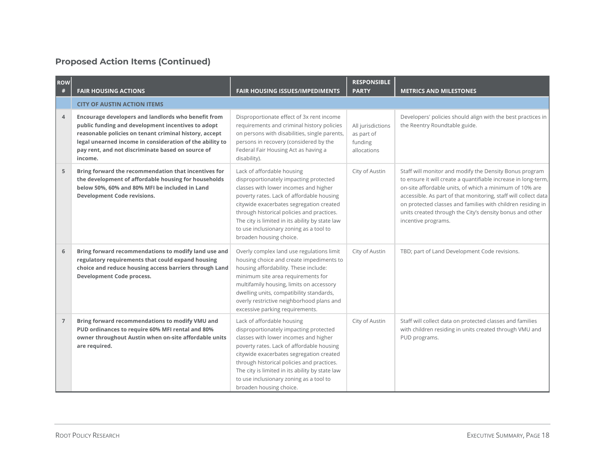| <b>ROW</b><br># | <b>FAIR HOUSING ACTIONS</b>                                                                                                                                                                                                                                                                     | <b>FAIR HOUSING ISSUES/IMPEDIMENTS</b>                                                                                                                                                                                                                                                                                                                                        | <b>RESPONSIBLE</b><br><b>PARTY</b>                        | <b>METRICS AND MILESTONES</b>                                                                                                                                                                                                                                                                                                                                                                             |
|-----------------|-------------------------------------------------------------------------------------------------------------------------------------------------------------------------------------------------------------------------------------------------------------------------------------------------|-------------------------------------------------------------------------------------------------------------------------------------------------------------------------------------------------------------------------------------------------------------------------------------------------------------------------------------------------------------------------------|-----------------------------------------------------------|-----------------------------------------------------------------------------------------------------------------------------------------------------------------------------------------------------------------------------------------------------------------------------------------------------------------------------------------------------------------------------------------------------------|
|                 | <b>CITY OF AUSTIN ACTION ITEMS</b>                                                                                                                                                                                                                                                              |                                                                                                                                                                                                                                                                                                                                                                               |                                                           |                                                                                                                                                                                                                                                                                                                                                                                                           |
| $\overline{4}$  | Encourage developers and landlords who benefit from<br>public funding and development incentives to adopt<br>reasonable policies on tenant criminal history, accept<br>legal unearned income in consideration of the ability to<br>pay rent, and not discriminate based on source of<br>income. | Disproportionate effect of 3x rent income<br>requirements and criminal history policies<br>on persons with disabilities, single parents,<br>persons in recovery (considered by the<br>Federal Fair Housing Act as having a<br>disability).                                                                                                                                    | All jurisdictions<br>as part of<br>funding<br>allocations | Developers' policies should align with the best practices in<br>the Reentry Roundtable guide.                                                                                                                                                                                                                                                                                                             |
| 5               | Bring forward the recommendation that incentives for<br>the development of affordable housing for households<br>below 50%, 60% and 80% MFI be included in Land<br><b>Development Code revisions.</b>                                                                                            | Lack of affordable housing<br>disproportionately impacting protected<br>classes with lower incomes and higher<br>poverty rates. Lack of affordable housing<br>citywide exacerbates segregation created<br>through historical policies and practices.<br>The city is limited in its ability by state law<br>to use inclusionary zoning as a tool to<br>broaden housing choice. | City of Austin                                            | Staff will monitor and modify the Density Bonus program<br>to ensure it will create a quantifiable increase in long-term,<br>on-site affordable units, of which a minimum of 10% are<br>accessible. As part of that monitoring, staff will collect data<br>on protected classes and families with children residing in<br>units created through the City's density bonus and other<br>incentive programs. |
| 6               | Bring forward recommendations to modify land use and<br>regulatory requirements that could expand housing<br>choice and reduce housing access barriers through Land<br>Development Code process.                                                                                                | Overly complex land use regulations limit<br>housing choice and create impediments to<br>housing affordability. These include:<br>minimum site area requirements for<br>multifamily housing, limits on accessory<br>dwelling units, compatibility standards,<br>overly restrictive neighborhood plans and<br>excessive parking requirements.                                  | City of Austin                                            | TBD; part of Land Development Code revisions.                                                                                                                                                                                                                                                                                                                                                             |
| $\overline{7}$  | Bring forward recommendations to modify VMU and<br>PUD ordinances to require 60% MFI rental and 80%<br>owner throughout Austin when on-site affordable units<br>are required.                                                                                                                   | Lack of affordable housing<br>disproportionately impacting protected<br>classes with lower incomes and higher<br>poverty rates. Lack of affordable housing<br>citywide exacerbates segregation created<br>through historical policies and practices.<br>The city is limited in its ability by state law<br>to use inclusionary zoning as a tool to<br>broaden housing choice. | City of Austin                                            | Staff will collect data on protected classes and families<br>with children residing in units created through VMU and<br>PUD programs.                                                                                                                                                                                                                                                                     |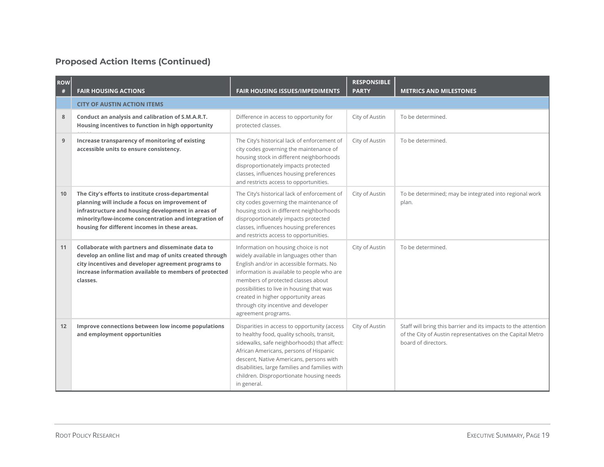| <b>ROW</b><br># | <b>FAIR HOUSING ACTIONS</b>                                                                                                                                                                                                                                          | <b>FAIR HOUSING ISSUES/IMPEDIMENTS</b>                                                                                                                                                                                                                                                                                                                              | <b>RESPONSIBLE</b><br><b>PARTY</b> | <b>METRICS AND MILESTONES</b>                                                                                                                       |
|-----------------|----------------------------------------------------------------------------------------------------------------------------------------------------------------------------------------------------------------------------------------------------------------------|---------------------------------------------------------------------------------------------------------------------------------------------------------------------------------------------------------------------------------------------------------------------------------------------------------------------------------------------------------------------|------------------------------------|-----------------------------------------------------------------------------------------------------------------------------------------------------|
|                 | <b>CITY OF AUSTIN ACTION ITEMS</b>                                                                                                                                                                                                                                   |                                                                                                                                                                                                                                                                                                                                                                     |                                    |                                                                                                                                                     |
| 8               | Conduct an analysis and calibration of S.M.A.R.T.<br>Housing incentives to function in high opportunity                                                                                                                                                              | Difference in access to opportunity for<br>protected classes.                                                                                                                                                                                                                                                                                                       | City of Austin                     | To be determined.                                                                                                                                   |
| 9               | Increase transparency of monitoring of existing<br>accessible units to ensure consistency.                                                                                                                                                                           | The City's historical lack of enforcement of<br>city codes governing the maintenance of<br>housing stock in different neighborhoods<br>disproportionately impacts protected<br>classes, influences housing preferences<br>and restricts access to opportunities.                                                                                                    | City of Austin                     | To be determined.                                                                                                                                   |
| 10              | The City's efforts to institute cross-departmental<br>planning will include a focus on improvement of<br>infrastructure and housing development in areas of<br>minority/low-income concentration and integration of<br>housing for different incomes in these areas. | The City's historical lack of enforcement of<br>city codes governing the maintenance of<br>housing stock in different neighborhoods<br>disproportionately impacts protected<br>classes, influences housing preferences<br>and restricts access to opportunities.                                                                                                    | City of Austin                     | To be determined; may be integrated into regional work<br>plan.                                                                                     |
| 11              | Collaborate with partners and disseminate data to<br>develop an online list and map of units created through<br>city incentives and developer agreement programs to<br>increase information available to members of protected<br>classes.                            | Information on housing choice is not<br>widely available in languages other than<br>English and/or in accessible formats. No<br>information is available to people who are<br>members of protected classes about<br>possibilities to live in housing that was<br>created in higher opportunity areas<br>through city incentive and developer<br>agreement programs. | City of Austin                     | To be determined.                                                                                                                                   |
| 12              | Improve connections between low income populations<br>and employment opportunities                                                                                                                                                                                   | Disparities in access to opportunity (access<br>to healthy food, quality schools, transit,<br>sidewalks, safe neighborhoods) that affect:<br>African Americans, persons of Hispanic<br>descent, Native Americans, persons with<br>disabilities, large families and families with<br>children. Disproportionate housing needs<br>in general.                         | City of Austin                     | Staff will bring this barrier and its impacts to the attention<br>of the City of Austin representatives on the Capital Metro<br>board of directors. |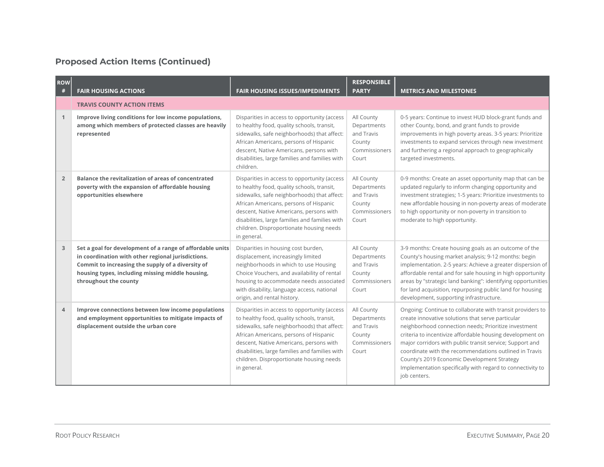| <b>ROW</b><br># | <b>FAIR HOUSING ACTIONS</b>                                                                                                                                                                                                                       | <b>FAIR HOUSING ISSUES/IMPEDIMENTS</b>                                                                                                                                                                                                                                                                                                      | <b>RESPONSIBLE</b><br><b>PARTY</b>                                          | <b>METRICS AND MILESTONES</b>                                                                                                                                                                                                                                                                                                                                                                                                                                                           |
|-----------------|---------------------------------------------------------------------------------------------------------------------------------------------------------------------------------------------------------------------------------------------------|---------------------------------------------------------------------------------------------------------------------------------------------------------------------------------------------------------------------------------------------------------------------------------------------------------------------------------------------|-----------------------------------------------------------------------------|-----------------------------------------------------------------------------------------------------------------------------------------------------------------------------------------------------------------------------------------------------------------------------------------------------------------------------------------------------------------------------------------------------------------------------------------------------------------------------------------|
|                 | <b>TRAVIS COUNTY ACTION ITEMS</b>                                                                                                                                                                                                                 |                                                                                                                                                                                                                                                                                                                                             |                                                                             |                                                                                                                                                                                                                                                                                                                                                                                                                                                                                         |
| $\mathbf{1}$    | Improve living conditions for low income populations,<br>among which members of protected classes are heavily<br>represented                                                                                                                      | Disparities in access to opportunity (access<br>to healthy food, quality schools, transit,<br>sidewalks, safe neighborhoods) that affect:<br>African Americans, persons of Hispanic<br>descent, Native Americans, persons with<br>disabilities, large families and families with<br>children.                                               | All County<br>Departments<br>and Travis<br>County<br>Commissioners<br>Court | 0-5 years: Continue to invest HUD block-grant funds and<br>other County, bond, and grant funds to provide<br>improvements in high poverty areas. 3-5 years: Prioritize<br>investments to expand services through new investment<br>and furthering a regional approach to geographically<br>targeted investments.                                                                                                                                                                        |
| $\overline{2}$  | Balance the revitalization of areas of concentrated<br>poverty with the expansion of affordable housing<br>opportunities elsewhere                                                                                                                | Disparities in access to opportunity (access<br>to healthy food, quality schools, transit,<br>sidewalks, safe neighborhoods) that affect:<br>African Americans, persons of Hispanic<br>descent, Native Americans, persons with<br>disabilities, large families and families with<br>children. Disproportionate housing needs<br>in general. | All County<br>Departments<br>and Travis<br>County<br>Commissioners<br>Court | 0-9 months: Create an asset opportunity map that can be<br>updated regularly to inform changing opportunity and<br>investment strategies; 1-5 years: Prioritize investments to<br>new affordable housing in non-poverty areas of moderate<br>to high opportunity or non-poverty in transition to<br>moderate to high opportunity.                                                                                                                                                       |
| 3               | Set a goal for development of a range of affordable units<br>in coordination with other regional jurisdictions.<br>Commit to increasing the supply of a diversity of<br>housing types, including missing middle housing,<br>throughout the county | Disparities in housing cost burden,<br>displacement, increasingly limited<br>neighborhoods in which to use Housing<br>Choice Vouchers, and availability of rental<br>housing to accommodate needs associated<br>with disability, language access, national<br>origin, and rental history.                                                   | All County<br>Departments<br>and Travis<br>County<br>Commissioners<br>Court | 3-9 months: Create housing goals as an outcome of the<br>County's housing market analysis; 9-12 months: begin<br>implementation. 2-5 years: Achieve a greater dispersion of<br>affordable rental and for sale housing in high opportunity<br>areas by "strategic land banking": identifying opportunities<br>for land acquisition, repurposing public land for housing<br>development, supporting infrastructure.                                                                       |
| $\overline{4}$  | Improve connections between low income populations<br>and employment opportunities to mitigate impacts of<br>displacement outside the urban core                                                                                                  | Disparities in access to opportunity (access<br>to healthy food, quality schools, transit,<br>sidewalks, safe neighborhoods) that affect:<br>African Americans, persons of Hispanic<br>descent, Native Americans, persons with<br>disabilities, large families and families with<br>children. Disproportionate housing needs<br>in general. | All County<br>Departments<br>and Travis<br>County<br>Commissioners<br>Court | Ongoing: Continue to collaborate with transit providers to<br>create innovative solutions that serve particular<br>neighborhood connection needs; Prioritize investment<br>criteria to incentivize affordable housing development on<br>major corridors with public transit service; Support and<br>coordinate with the recommendations outlined in Travis<br>County's 2019 Economic Development Strategy<br>Implementation specifically with regard to connectivity to<br>job centers. |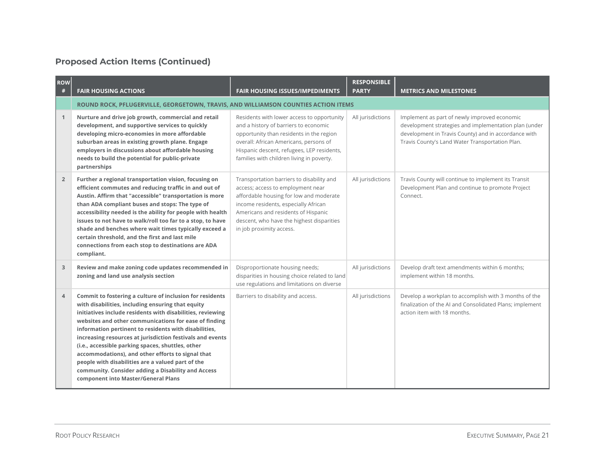| <b>ROW</b><br># | <b>FAIR HOUSING ACTIONS</b>                                                                                                                                                                                                                                                                                                                                                                                                                                                                                                                                                                                            | <b>FAIR HOUSING ISSUES/IMPEDIMENTS</b>                                                                                                                                                                                                                                            | <b>RESPONSIBLE</b><br><b>PARTY</b> | <b>METRICS AND MILESTONES</b>                                                                                                                                                                                    |
|-----------------|------------------------------------------------------------------------------------------------------------------------------------------------------------------------------------------------------------------------------------------------------------------------------------------------------------------------------------------------------------------------------------------------------------------------------------------------------------------------------------------------------------------------------------------------------------------------------------------------------------------------|-----------------------------------------------------------------------------------------------------------------------------------------------------------------------------------------------------------------------------------------------------------------------------------|------------------------------------|------------------------------------------------------------------------------------------------------------------------------------------------------------------------------------------------------------------|
|                 | ROUND ROCK, PFLUGERVILLE, GEORGETOWN, TRAVIS, AND WILLIAMSON COUNTIES ACTION ITEMS                                                                                                                                                                                                                                                                                                                                                                                                                                                                                                                                     |                                                                                                                                                                                                                                                                                   |                                    |                                                                                                                                                                                                                  |
| $\mathbf{1}$    | Nurture and drive job growth, commercial and retail<br>development, and supportive services to quickly<br>developing micro-economies in more affordable<br>suburban areas in existing growth plane. Engage<br>employers in discussions about affordable housing<br>needs to build the potential for public-private<br>partnerships                                                                                                                                                                                                                                                                                     | Residents with lower access to opportunity<br>and a history of barriers to economic<br>opportunity than residents in the region<br>overall: African Americans, persons of<br>Hispanic descent, refugees, LEP residents,<br>families with children living in poverty.              | All jurisdictions                  | Implement as part of newly improved economic<br>development strategies and implementation plan (under<br>development in Travis County) and in accordance with<br>Travis County's Land Water Transportation Plan. |
| $\overline{2}$  | Further a regional transportation vision, focusing on<br>efficient commutes and reducing traffic in and out of<br>Austin. Affirm that "accessible" transportation is more<br>than ADA compliant buses and stops: The type of<br>accessibility needed is the ability for people with health<br>issues to not have to walk/roll too far to a stop, to have<br>shade and benches where wait times typically exceed a<br>certain threshold, and the first and last mile<br>connections from each stop to destinations are ADA<br>compliant.                                                                                | Transportation barriers to disability and<br>access; access to employment near<br>affordable housing for low and moderate<br>income residents, especially African<br>Americans and residents of Hispanic<br>descent, who have the highest disparities<br>in job proximity access. | All jurisdictions                  | Travis County will continue to implement its Transit<br>Development Plan and continue to promote Project<br>Connect.                                                                                             |
| 3               | Review and make zoning code updates recommended in<br>zoning and land use analysis section                                                                                                                                                                                                                                                                                                                                                                                                                                                                                                                             | Disproportionate housing needs;<br>disparities in housing choice related to land<br>use regulations and limitations on diverse                                                                                                                                                    | All jurisdictions                  | Develop draft text amendments within 6 months;<br>implement within 18 months.                                                                                                                                    |
| $\overline{4}$  | Commit to fostering a culture of inclusion for residents<br>with disabilities, including ensuring that equity<br>initiatives include residents with disabilities, reviewing<br>websites and other communications for ease of finding<br>information pertinent to residents with disabilities,<br>increasing resources at jurisdiction festivals and events<br>(i.e., accessible parking spaces, shuttles, other<br>accommodations), and other efforts to signal that<br>people with disabilities are a valued part of the<br>community. Consider adding a Disability and Access<br>component into Master/General Plans | Barriers to disability and access.                                                                                                                                                                                                                                                | All jurisdictions                  | Develop a workplan to accomplish with 3 months of the<br>finalization of the AI and Consolidated Plans; implement<br>action item with 18 months.                                                                 |